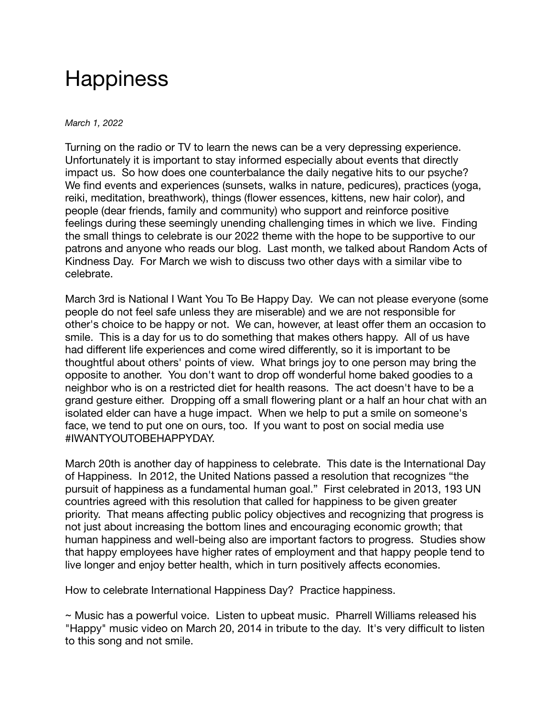## **Happiness**

## *March 1, 2022*

Turning on the radio or TV to learn the news can be a very depressing experience. Unfortunately it is important to stay informed especially about events that directly impact us. So how does one counterbalance the daily negative hits to our psyche? We find events and experiences (sunsets, walks in nature, pedicures), practices (yoga, reiki, meditation, breathwork), things (flower essences, kittens, new hair color), and people (dear friends, family and community) who support and reinforce positive feelings during these seemingly unending challenging times in which we live. Finding the small things to celebrate is our 2022 theme with the hope to be supportive to our patrons and anyone who reads our blog. Last month, we talked about Random Acts of Kindness Day. For March we wish to discuss two other days with a similar vibe to celebrate.

March 3rd is National I Want You To Be Happy Day. We can not please everyone (some people do not feel safe unless they are miserable) and we are not responsible for other's choice to be happy or not. We can, however, at least offer them an occasion to smile. This is a day for us to do something that makes others happy. All of us have had different life experiences and come wired differently, so it is important to be thoughtful about others' points of view. What brings joy to one person may bring the opposite to another. You don't want to drop off wonderful home baked goodies to a neighbor who is on a restricted diet for health reasons. The act doesn't have to be a grand gesture either. Dropping off a small flowering plant or a half an hour chat with an isolated elder can have a huge impact. When we help to put a smile on someone's face, we tend to put one on ours, too. If you want to post on social media use #IWANTYOUTOBEHAPPYDAY.

March 20th is another day of happiness to celebrate. This date is the International Day of Happiness. In 2012, the United Nations passed a resolution that recognizes "the pursuit of happiness as a fundamental human goal." First celebrated in 2013, 193 UN countries agreed with this resolution that called for happiness to be given greater priority. That means affecting public policy objectives and recognizing that progress is not just about increasing the bottom lines and encouraging economic growth; that human happiness and well-being also are important factors to progress. Studies show that happy employees have higher rates of employment and that happy people tend to live longer and enjoy better health, which in turn positively affects economies.

How to celebrate International Happiness Day? Practice happiness.

~ Music has a powerful voice. Listen to upbeat music. Pharrell Williams released his "Happy" music video on March 20, 2014 in tribute to the day. It's very difficult to listen to this song and not smile.